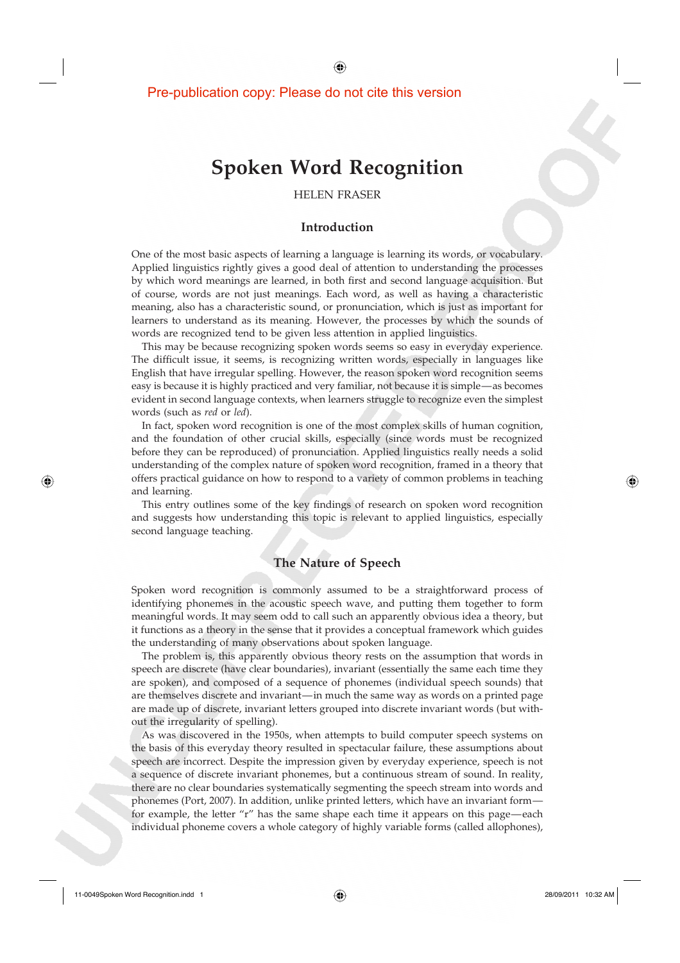Pre-publication copy: Please do not cite this version

# **Spoken Word Recognition**

HELEN FRASER

#### **Introduction**

One of the most basic aspects of learning a language is learning its words, or vocabulary. Applied linguistics rightly gives a good deal of attention to understanding the processes by which word meanings are learned, in both first and second language acquisition. But of course, words are not just meanings. Each word, as well as having a characteristic meaning, also has a characteristic sound, or pronunciation, which is just as important for learners to understand as its meaning. However, the processes by which the sounds of words are recognized tend to be given less attention in applied linguistics.

This may be because recognizing spoken words seems so easy in everyday experience. The difficult issue, it seems, is recognizing written words, especially in languages like English that have irregular spelling. However, the reason spoken word recognition seems easy is because it is highly practiced and very familiar, not because it is simple—as becomes evident in second language contexts, when learners struggle to recognize even the simplest words (such as *red* or *led*).

In fact, spoken word recognition is one of the most complex skills of human cognition, and the foundation of other crucial skills, especially (since words must be recognized before they can be reproduced) of pronunciation. Applied linguistics really needs a solid understanding of the complex nature of spoken word recognition, framed in a theory that offers practical guidance on how to respond to a variety of common problems in teaching and learning.

This entry outlines some of the key findings of research on spoken word recognition and suggests how understanding this topic is relevant to applied linguistics, especially second language teaching.

#### **The Nature of Speech**

Spoken word recognition is commonly assumed to be a straightforward process of identifying phonemes in the acoustic speech wave, and putting them together to form meaningful words. It may seem odd to call such an apparently obvious idea a theory, but it functions as a theory in the sense that it provides a conceptual framework which guides the understanding of many observations about spoken language.

The problem is, this apparently obvious theory rests on the assumption that words in speech are discrete (have clear boundaries), invariant (essentially the same each time they are spoken), and composed of a sequence of phonemes (individual speech sounds) that are themselves discrete and invariant—in much the same way as words on a printed page are made up of discrete, invariant letters grouped into discrete invariant words (but without the irregularity of spelling).

As was discovered in the 1950s, when attempts to build computer speech systems on the basis of this everyday theory resulted in spectacular failure, these assumptions about speech are incorrect. Despite the impression given by everyday experience, speech is not a sequence of discrete invariant phonemes, but a continuous stream of sound. In reality, there are no clear boundaries systematically segmenting the speech stream into words and phonemes (Port, 2007). In addition, unlike printed letters, which have an invariant form for example, the letter "r" has the same shape each time it appears on this page—each individual phoneme covers a whole category of highly variable forms (called allophones),

 $\bigoplus$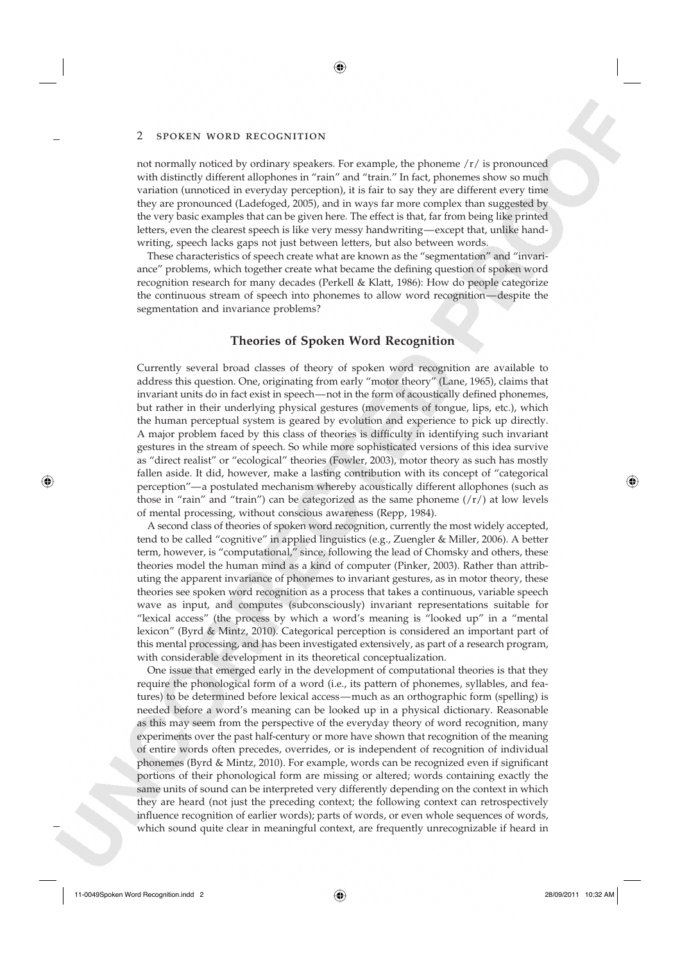not normally noticed by ordinary speakers. For example, the phoneme /r/ is pronounced with distinctly different allophones in "rain" and "train." In fact, phonemes show so much variation (unnoticed in everyday perception), it is fair to say they are different every time they are pronounced (Ladefoged, 2005), and in ways far more complex than suggested by the very basic examples that can be given here. The effect is that, far from being like printed letters, even the clearest speech is like very messy handwriting—except that, unlike handwriting, speech lacks gaps not just between letters, but also between words.

⊕

These characteristics of speech create what are known as the "segmentation" and "invariance" problems, which together create what became the defining question of spoken word recognition research for many decades (Perkell & Klatt, 1986): How do people categorize the continuous stream of speech into phonemes to allow word recognition—despite the segmentation and invariance problems?

## **Theories of Spoken Word Recognition**

Currently several broad classes of theory of spoken word recognition are available to address this question. One, originating from early "motor theory" (Lane, 1965), claims that invariant units do in fact exist in speech—not in the form of acoustically defined phonemes, but rather in their underlying physical gestures (movements of tongue, lips, etc.), which the human perceptual system is geared by evolution and experience to pick up directly. A major problem faced by this class of theories is difficulty in identifying such invariant gestures in the stream of speech. So while more sophisticated versions of this idea survive as "direct realist" or "ecological" theories (Fowler, 2003), motor theory as such has mostly fallen aside. It did, however, make a lasting contribution with its concept of "categorical perception"—a postulated mechanism whereby acoustically different allophones (such as those in "rain" and "train") can be categorized as the same phoneme  $\left(\frac{r}{r}\right)$  at low levels of mental processing, without conscious awareness (Repp, 1984).

A second class of theories of spoken word recognition, currently the most widely accepted, tend to be called "cognitive" in applied linguistics (e.g., Zuengler & Miller, 2006). A better term, however, is "computational," since, following the lead of Chomsky and others, these theories model the human mind as a kind of computer (Pinker, 2003). Rather than attributing the apparent invariance of phonemes to invariant gestures, as in motor theory, these theories see spoken word recognition as a process that takes a continuous, variable speech wave as input, and computes (subconsciously) invariant representations suitable for "lexical access" (the process by which a word's meaning is "looked up" in a "mental lexicon" (Byrd & Mintz, 2010). Categorical perception is considered an important part of this mental processing, and has been investigated extensively, as part of a research program, with considerable development in its theoretical conceptualization.

One issue that emerged early in the development of computational theories is that they require the phonological form of a word (i.e., its pattern of phonemes, syllables, and features) to be determined before lexical access—much as an orthographic form (spelling) is needed before a word's meaning can be looked up in a physical dictionary. Reasonable as this may seem from the perspective of the everyday theory of word recognition, many experiments over the past half-century or more have shown that recognition of the meaning of entire words often precedes, overrides, or is independent of recognition of individual phonemes (Byrd  $\&$  Mintz, 2010). For example, words can be recognized even if significant portions of their phonological form are missing or altered; words containing exactly the same units of sound can be interpreted very differently depending on the context in which they are heard (not just the preceding context; the following context can retrospectively influence recognition of earlier words); parts of words, or even whole sequences of words, which sound quite clear in meaningful context, are frequently unrecognizable if heard in

 $\bigoplus$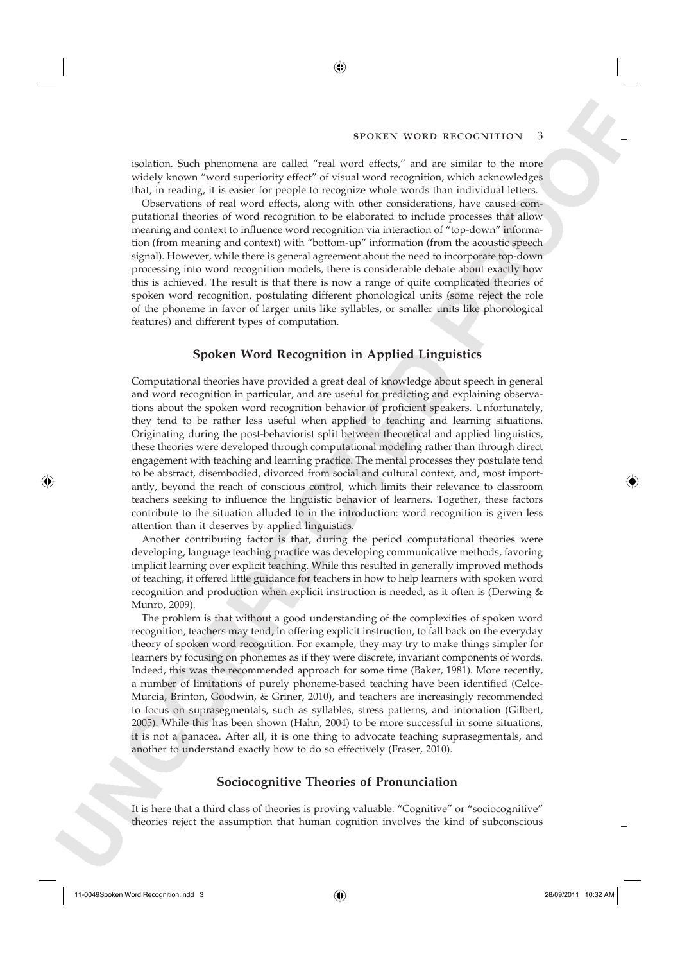isolation. Such phenomena are called "real word effects," and are similar to the more widely known "word superiority effect" of visual word recognition, which acknowledges that, in reading, it is easier for people to recognize whole words than individual letters.

⊕

Observations of real word effects, along with other considerations, have caused computational theories of word recognition to be elaborated to include processes that allow meaning and context to influence word recognition via interaction of "top-down" information (from meaning and context) with "bottom-up" information (from the acoustic speech signal). However, while there is general agreement about the need to incorporate top-down processing into word recognition models, there is considerable debate about exactly how this is achieved. The result is that there is now a range of quite complicated theories of spoken word recognition, postulating different phonological units (some reject the role of the phoneme in favor of larger units like syllables, or smaller units like phonological features) and different types of computation.

#### **Spoken Word Recognition in Applied Linguistics**

Computational theories have provided a great deal of knowledge about speech in general and word recognition in particular, and are useful for predicting and explaining observations about the spoken word recognition behavior of proficient speakers. Unfortunately, they tend to be rather less useful when applied to teaching and learning situations. Originating during the post-behaviorist split between theoretical and applied linguistics, these theories were developed through computational modeling rather than through direct engagement with teaching and learning practice. The mental processes they postulate tend to be abstract, disembodied, divorced from social and cultural context, and, most importantly, beyond the reach of conscious control, which limits their relevance to classroom teachers seeking to influence the linguistic behavior of learners. Together, these factors contribute to the situation alluded to in the introduction: word recognition is given less attention than it deserves by applied linguistics.

Another contributing factor is that, during the period computational theories were developing, language teaching practice was developing communicative methods, favoring implicit learning over explicit teaching. While this resulted in generally improved methods of teaching, it offered little guidance for teachers in how to help learners with spoken word recognition and production when explicit instruction is needed, as it often is (Derwing & Munro, 2009).

The problem is that without a good understanding of the complexities of spoken word recognition, teachers may tend, in offering explicit instruction, to fall back on the everyday theory of spoken word recognition. For example, they may try to make things simpler for learners by focusing on phonemes as if they were discrete, invariant components of words. Indeed, this was the recommended approach for some time (Baker, 1981). More recently, a number of limitations of purely phoneme-based teaching have been identified (Celce-Murcia, Brinton, Goodwin, & Griner, 2010), and teachers are increasingly recommended to focus on suprasegmentals, such as syllables, stress patterns, and intonation (Gilbert, 2005). While this has been shown (Hahn, 2004) to be more successful in some situations, it is not a panacea. After all, it is one thing to advocate teaching suprasegmentals, and another to understand exactly how to do so effectively (Fraser, 2010).

### **Sociocognitive Theories of Pronunciation**

It is here that a third class of theories is proving valuable. "Cognitive" or "sociocognitive" theories reject the assumption that human cognition involves the kind of subconscious

 $\bigoplus$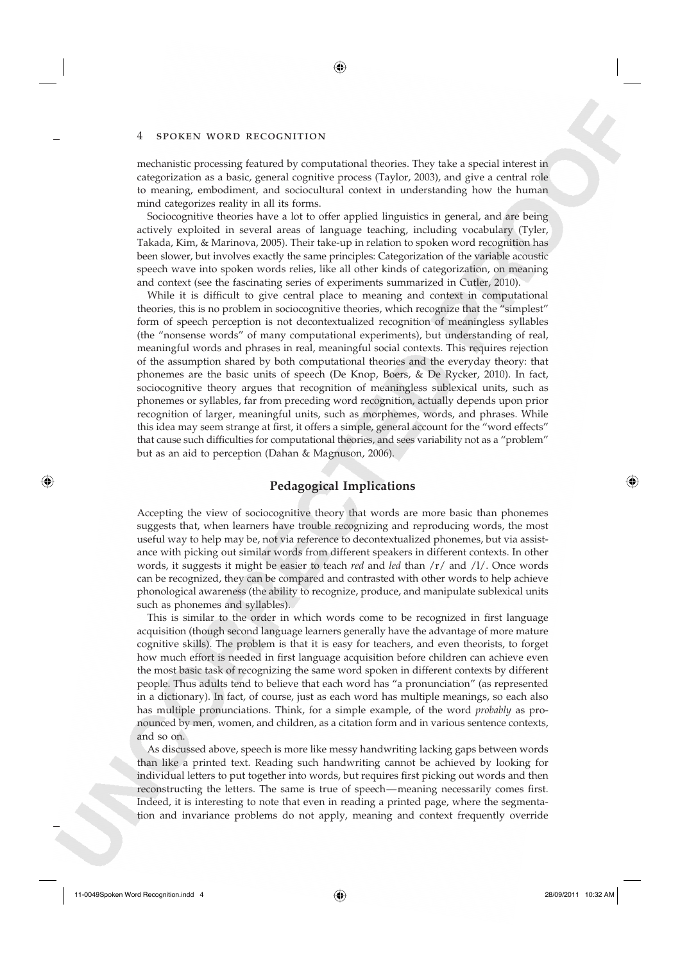mechanistic processing featured by computational theories. They take a special interest in categorization as a basic, general cognitive process (Taylor, 2003), and give a central role to meaning, embodiment, and sociocultural context in understanding how the human mind categorizes reality in all its forms.

⊕

Sociocognitive theories have a lot to offer applied linguistics in general, and are being actively exploited in several areas of language teaching, including vocabulary (Tyler, Takada, Kim, & Marinova, 2005). Their take-up in relation to spoken word recognition has been slower, but involves exactly the same principles: Categorization of the variable acoustic speech wave into spoken words relies, like all other kinds of categorization, on meaning and context (see the fascinating series of experiments summarized in Cutler, 2010).

While it is difficult to give central place to meaning and context in computational theories, this is no problem in sociocognitive theories, which recognize that the "simplest" form of speech perception is not decontextualized recognition of meaningless syllables (the "nonsense words" of many computational experiments), but understanding of real, meaningful words and phrases in real, meaningful social contexts. This requires rejection of the assumption shared by both computational theories and the everyday theory: that phonemes are the basic units of speech (De Knop, Boers, & De Rycker, 2010). In fact, sociocognitive theory argues that recognition of meaningless sublexical units, such as phonemes or syllables, far from preceding word recognition, actually depends upon prior recognition of larger, meaningful units, such as morphemes, words, and phrases. While this idea may seem strange at first, it offers a simple, general account for the "word effects" that cause such difficulties for computational theories, and sees variability not as a "problem" but as an aid to perception (Dahan & Magnuson, 2006).

## **Pedagogical Implications**

Accepting the view of sociocognitive theory that words are more basic than phonemes suggests that, when learners have trouble recognizing and reproducing words, the most useful way to help may be, not via reference to decontextualized phonemes, but via assistance with picking out similar words from different speakers in different contexts. In other words, it suggests it might be easier to teach *red* and *led* than /r/ and /l/. Once words can be recognized, they can be compared and contrasted with other words to help achieve phonological awareness (the ability to recognize, produce, and manipulate sublexical units such as phonemes and syllables).

This is similar to the order in which words come to be recognized in first language acquisition (though second language learners generally have the advantage of more mature cognitive skills). The problem is that it is easy for teachers, and even theorists, to forget how much effort is needed in first language acquisition before children can achieve even the most basic task of recognizing the same word spoken in different contexts by different people. Thus adults tend to believe that each word has "a pronunciation" (as represented in a dictionary). In fact, of course, just as each word has multiple meanings, so each also has multiple pronunciations. Think, for a simple example, of the word *probably* as pronounced by men, women, and children, as a citation form and in various sentence contexts, and so on.

As discussed above, speech is more like messy handwriting lacking gaps between words than like a printed text. Reading such handwriting cannot be achieved by looking for individual letters to put together into words, but requires first picking out words and then reconstructing the letters. The same is true of speech—meaning necessarily comes first. Indeed, it is interesting to note that even in reading a printed page, where the segmentation and invariance problems do not apply, meaning and context frequently override

 $\bigoplus$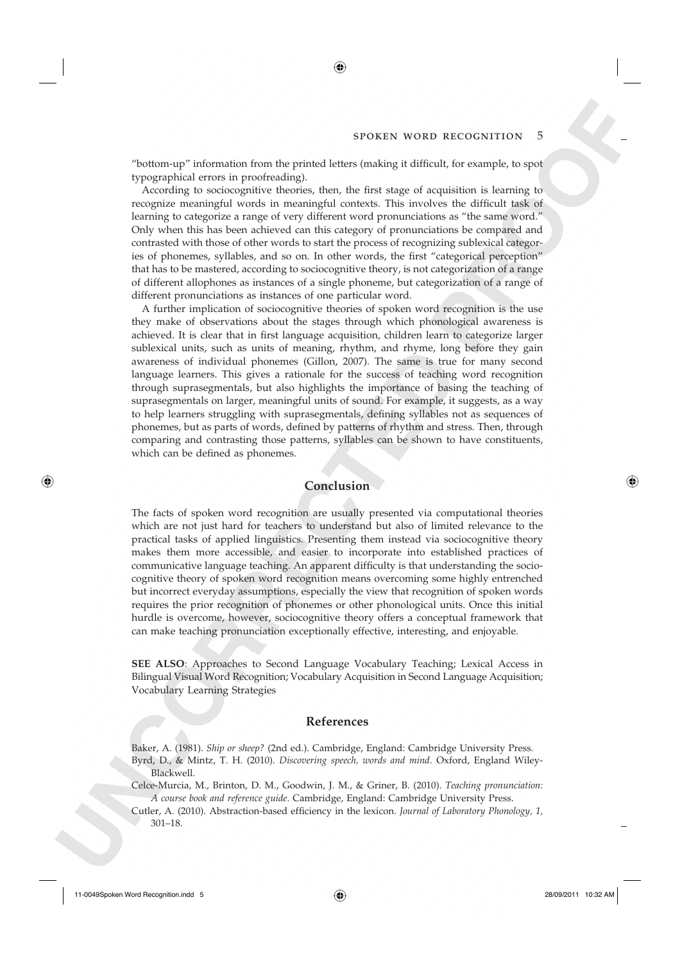"bottom-up" information from the printed letters (making it difficult, for example, to spot typographical errors in proofreading).

According to sociocognitive theories, then, the first stage of acquisition is learning to recognize meaningful words in meaningful contexts. This involves the difficult task of learning to categorize a range of very different word pronunciations as "the same word." Only when this has been achieved can this category of pronunciations be compared and contrasted with those of other words to start the process of recognizing sublexical categories of phonemes, syllables, and so on. In other words, the first "categorical perception" that has to be mastered, according to sociocognitive theory, is not categorization of a range of different allophones as instances of a single phoneme, but categorization of a range of different pronunciations as instances of one particular word.

A further implication of sociocognitive theories of spoken word recognition is the use they make of observations about the stages through which phonological awareness is achieved. It is clear that in first language acquisition, children learn to categorize larger sublexical units, such as units of meaning, rhythm, and rhyme, long before they gain awareness of individual phonemes (Gillon, 2007). The same is true for many second language learners. This gives a rationale for the success of teaching word recognition through suprasegmentals, but also highlights the importance of basing the teaching of suprasegmentals on larger, meaningful units of sound. For example, it suggests, as a way to help learners struggling with suprasegmentals, defining syllables not as sequences of phonemes, but as parts of words, defined by patterns of rhythm and stress. Then, through comparing and contrasting those patterns, syllables can be shown to have constituents, which can be defined as phonemes.

## **Conclusion**

The facts of spoken word recognition are usually presented via computational theories which are not just hard for teachers to understand but also of limited relevance to the practical tasks of applied linguistics. Presenting them instead via sociocognitive theory makes them more accessible, and easier to incorporate into established practices of communicative language teaching. An apparent difficulty is that understanding the sociocognitive theory of spoken word recognition means overcoming some highly entrenched but incorrect everyday assumptions, especially the view that recognition of spoken words requires the prior recognition of phonemes or other phonological units. Once this initial hurdle is overcome, however, sociocognitive theory offers a conceptual framework that can make teaching pronunciation exceptionally effective, interesting, and enjoyable.

**SEE ALSO**: Approaches to Second Language Vocabulary Teaching; Lexical Access in Bilingual Visual Word Recognition; Vocabulary Acquisition in Second Language Acquisition; Vocabulary Learning Strategies

#### **References**

Baker, A. (1981). *Ship or sheep?* (2nd ed.). Cambridge, England: Cambridge University Press. Byrd, D., & Mintz, T. H. (2010). *Discovering speech, words and mind*. Oxford, England Wiley-Blackwell.

Celce-Murcia, M., Brinton, D. M., Goodwin, J. M., & Griner, B. (2010). *Teaching pronunciation: A course book and reference guide*. Cambridge, England: Cambridge University Press.

Cutler, A. (2010). Abstraction-based efficiency in the lexicon. *Journal of Laboratory Phonology*, 1, 301–18.

 $\bigoplus$